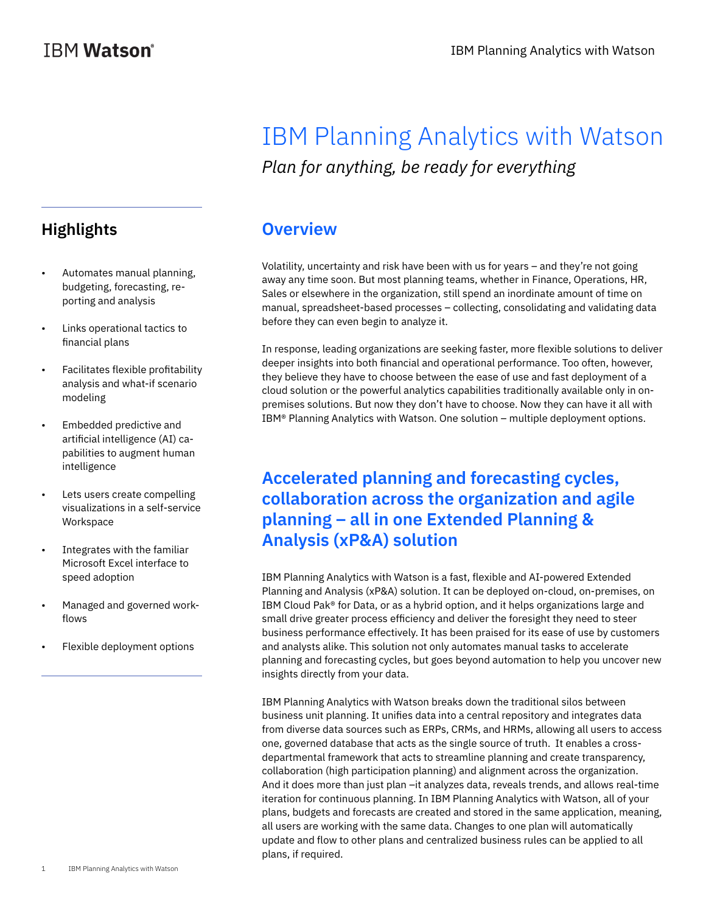# IBM Planning Analytics with Watson *Plan for anything, be ready for everything*

#### **Overview**

Volatility, uncertainty and risk have been with us for years – and they're not going away any time soon. But most planning teams, whether in Finance, Operations, HR, Sales or elsewhere in the organization, still spend an inordinate amount of time on manual, spreadsheet-based processes – collecting, consolidating and validating data before they can even begin to analyze it.

In response, leading organizations are seeking faster, more flexible solutions to deliver deeper insights into both financial and operational performance. Too often, however, they believe they have to choose between the ease of use and fast deployment of a cloud solution or the powerful analytics capabilities traditionally available only in onpremises solutions. But now they don't have to choose. Now they can have it all with IBM® Planning Analytics with Watson. One solution – multiple deployment options.

### **Accelerated planning and forecasting cycles, collaboration across the organization and agile planning – all in one Extended Planning & Analysis (xP&A) solution**

IBM Planning Analytics with Watson is a fast, flexible and AI-powered Extended Planning and Analysis (xP&A) solution. It can be deployed on-cloud, on-premises, on IBM Cloud Pak® for Data, or as a hybrid option, and it helps organizations large and small drive greater process efficiency and deliver the foresight they need to steer business performance effectively. It has been praised for its ease of use by customers and analysts alike. This solution not only automates manual tasks to accelerate planning and forecasting cycles, but goes beyond automation to help you uncover new insights directly from your data.

IBM Planning Analytics with Watson breaks down the traditional silos between business unit planning. It unifies data into a central repository and integrates data from diverse data sources such as ERPs, CRMs, and HRMs, allowing all users to access one, governed database that acts as the single source of truth. It enables a crossdepartmental framework that acts to streamline planning and create transparency, collaboration (high participation planning) and alignment across the organization. And it does more than just plan –it analyzes data, reveals trends, and allows real-time iteration for continuous planning. In IBM Planning Analytics with Watson, all of your plans, budgets and forecasts are created and stored in the same application, meaning, all users are working with the same data. Changes to one plan will automatically update and flow to other plans and centralized business rules can be applied to all plans, if required.

### **Highlights**

- Automates manual planning, budgeting, forecasting, reporting and analysis
- Links operational tactics to financial plans
- Facilitates flexible profitability analysis and what-if scenario modeling
- Embedded predictive and artificial intelligence (AI) capabilities to augment human intelligence
- Lets users create compelling visualizations in a self-service Workspace
- Integrates with the familiar Microsoft Excel interface to speed adoption
- Managed and governed workflows
- Flexible deployment options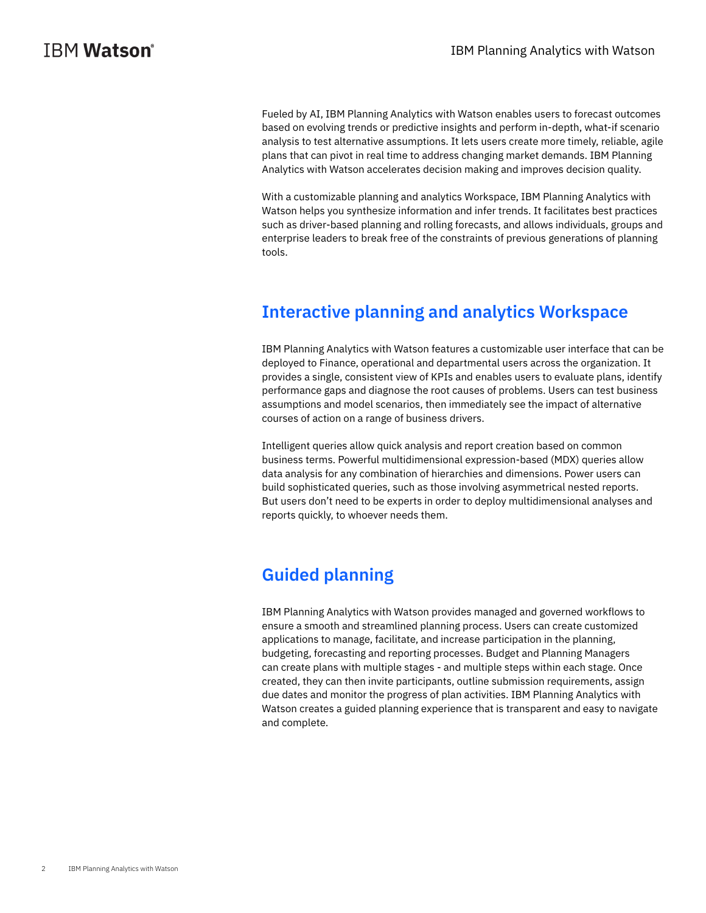Fueled by AI, IBM Planning Analytics with Watson enables users to forecast outcomes based on evolving trends or predictive insights and perform in-depth, what-if scenario analysis to test alternative assumptions. It lets users create more timely, reliable, agile plans that can pivot in real time to address changing market demands. IBM Planning Analytics with Watson accelerates decision making and improves decision quality.

With a customizable planning and analytics Workspace, IBM Planning Analytics with Watson helps you synthesize information and infer trends. It facilitates best practices such as driver-based planning and rolling forecasts, and allows individuals, groups and enterprise leaders to break free of the constraints of previous generations of planning tools.

### **Interactive planning and analytics Workspace**

IBM Planning Analytics with Watson features a customizable user interface that can be deployed to Finance, operational and departmental users across the organization. It provides a single, consistent view of KPIs and enables users to evaluate plans, identify performance gaps and diagnose the root causes of problems. Users can test business assumptions and model scenarios, then immediately see the impact of alternative courses of action on a range of business drivers.

Intelligent queries allow quick analysis and report creation based on common business terms. Powerful multidimensional expression-based (MDX) queries allow data analysis for any combination of hierarchies and dimensions. Power users can build sophisticated queries, such as those involving asymmetrical nested reports. But users don't need to be experts in order to deploy multidimensional analyses and reports quickly, to whoever needs them.

### **Guided planning**

IBM Planning Analytics with Watson provides managed and governed workflows to ensure a smooth and streamlined planning process. Users can create customized applications to manage, facilitate, and increase participation in the planning, budgeting, forecasting and reporting processes. Budget and Planning Managers can create plans with multiple stages - and multiple steps within each stage. Once created, they can then invite participants, outline submission requirements, assign due dates and monitor the progress of plan activities. IBM Planning Analytics with Watson creates a guided planning experience that is transparent and easy to navigate and complete.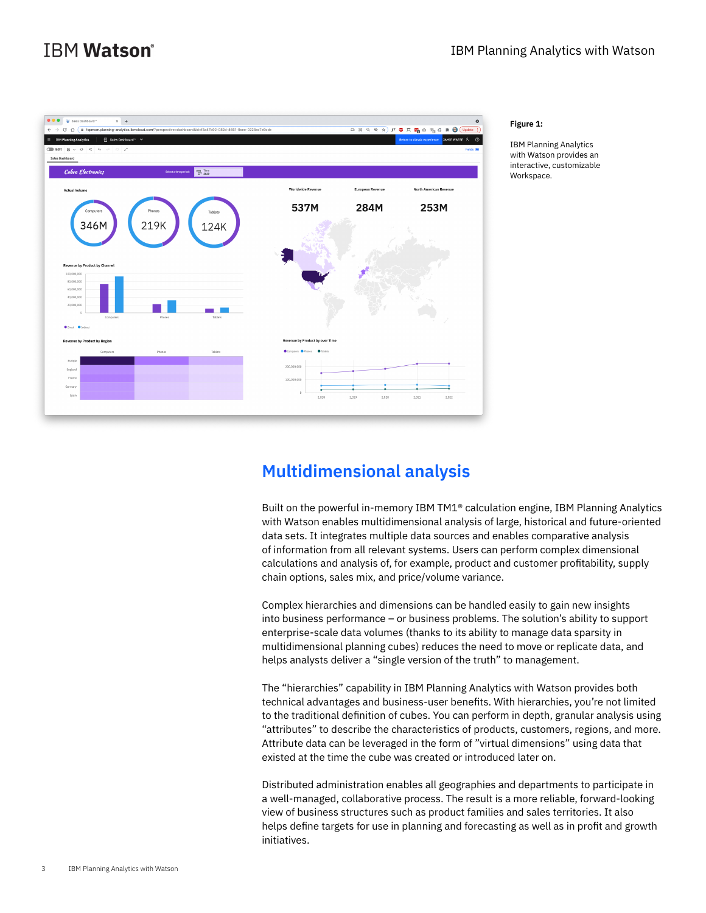

#### **Figure 1:**

IBM Planning Analytics with Watson provides an interactive, customizable Workspace.

#### **Multidimensional analysis**

Built on the powerful in-memory IBM TM1® calculation engine, IBM Planning Analytics with Watson enables multidimensional analysis of large, historical and future-oriented data sets. It integrates multiple data sources and enables comparative analysis of information from all relevant systems. Users can perform complex dimensional calculations and analysis of, for example, product and customer profitability, supply chain options, sales mix, and price/volume variance.

Complex hierarchies and dimensions can be handled easily to gain new insights into business performance – or business problems. The solution's ability to support enterprise-scale data volumes (thanks to its ability to manage data sparsity in multidimensional planning cubes) reduces the need to move or replicate data, and helps analysts deliver a "single version of the truth" to management.

The "hierarchies" capability in IBM Planning Analytics with Watson provides both technical advantages and business-user benefits. With hierarchies, you're not limited to the traditional definition of cubes. You can perform in depth, granular analysis using "attributes" to describe the characteristics of products, customers, regions, and more. Attribute data can be leveraged in the form of "virtual dimensions" using data that existed at the time the cube was created or introduced later on.

Distributed administration enables all geographies and departments to participate in a well-managed, collaborative process. The result is a more reliable, forward-looking view of business structures such as product families and sales territories. It also helps define targets for use in planning and forecasting as well as in profit and growth initiatives.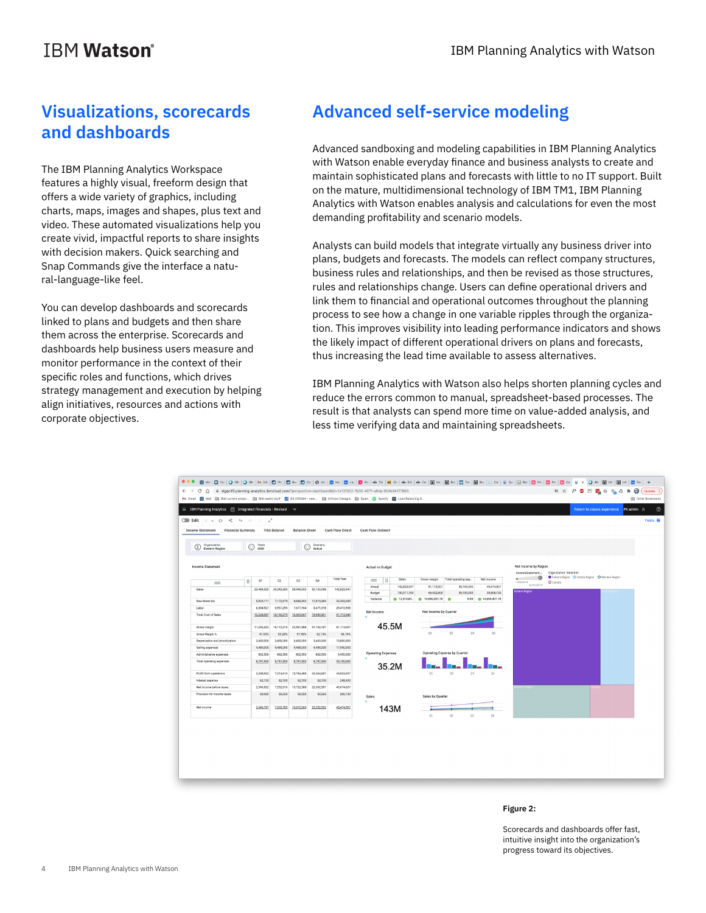# **IBM Watson**<sup>®</sup>

### **Visualizations, scorecards and dashboards**

The IBM Planning Analytics Workspace features a highly visual, freeform design that offers a wide variety of graphics, including charts, maps, images and shapes, plus text and video. These automated visualizations help you create vivid, impactful reports to share insights with decision makers. Quick searching and Snap Commands give the interface a natural-language-like feel.

You can develop dashboards and scorecards linked to plans and budgets and then share them across the enterprise. Scorecards and dashboards help business users measure and monitor performance in the context of their specific roles and functions, which drives strategy management and execution by helping align initiatives, resources and actions with corporate objectives.

# **Advanced self-service modeling**

Advanced sandboxing and modeling capabilities in IBM Planning Analytics with Watson enable everyday finance and business analysts to create and maintain sophisticated plans and forecasts with little to no IT support. Built on the mature, multidimensional technology of IBM TM1, IBM Planning Analytics with Watson enables analysis and calculations for even the most demanding profitability and scenario models.

Analysts can build models that integrate virtually any business driver into plans, budgets and forecasts. The models can reflect company structures, business rules and relationships, and then be revised as those structures, rules and relationships change. Users can define operational drivers and link them to financial and operational outcomes throughout the planning process to see how a change in one variable ripples through the organization. This improves visibility into leading performance indicators and shows the likely impact of different operational drivers on plans and forecasts, thus increasing the lead time available to assess alternatives.

IBM Planning Analytics with Watson also helps shorten planning cycles and reduce the errors common to manual, spreadsheet-based processes. The result is that analysts can spend more time on value-added analysis, and less time verifying data and maintaining spreadsheets.



#### **Figure 2:**

Scorecards and dashboards offer fast, intuitive insight into the organization's progress toward its objectives.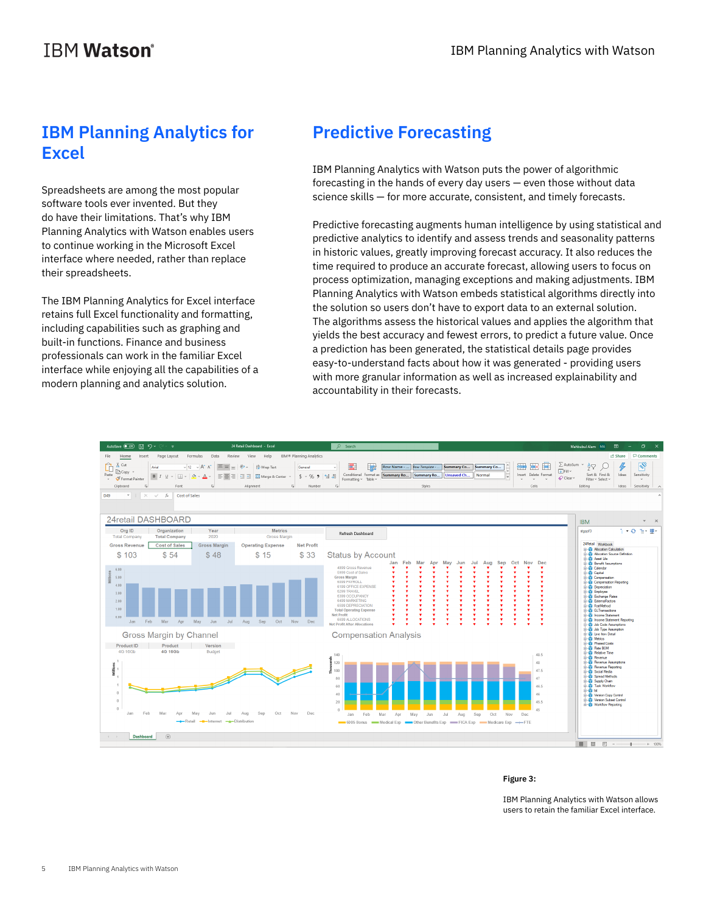# **IBM Planning Analytics for Excel**

Spreadsheets are among the most popular software tools ever invented. But they do have their limitations. That's why IBM Planning Analytics with Watson enables users to continue working in the Microsoft Excel interface where needed, rather than replace their spreadsheets.

The IBM Planning Analytics for Excel interface retains full Excel functionality and formatting, including capabilities such as graphing and built-in functions. Finance and business professionals can work in the familiar Excel interface while enjoying all the capabilities of a modern planning and analytics solution.

# **Predictive Forecasting**

IBM Planning Analytics with Watson puts the power of algorithmic forecasting in the hands of every day users — even those without data science skills — for more accurate, consistent, and timely forecasts.

Predictive forecasting augments human intelligence by using statistical and predictive analytics to identify and assess trends and seasonality patterns in historic values, greatly improving forecast accuracy. It also reduces the time required to produce an accurate forecast, allowing users to focus on process optimization, managing exceptions and making adjustments. IBM Planning Analytics with Watson embeds statistical algorithms directly into the solution so users don't have to export data to an external solution. The algorithms assess the historical values and applies the algorithm that yields the best accuracy and fewest errors, to predict a future value. Once a prediction has been generated, the statistical details page provides easy-to-understand facts about how it was generated - providing users with more granular information as well as increased explainability and accountability in their forecasts.



#### **Figure 3:**

IBM Planning Analytics with Watson allows users to retain the familiar Excel interface.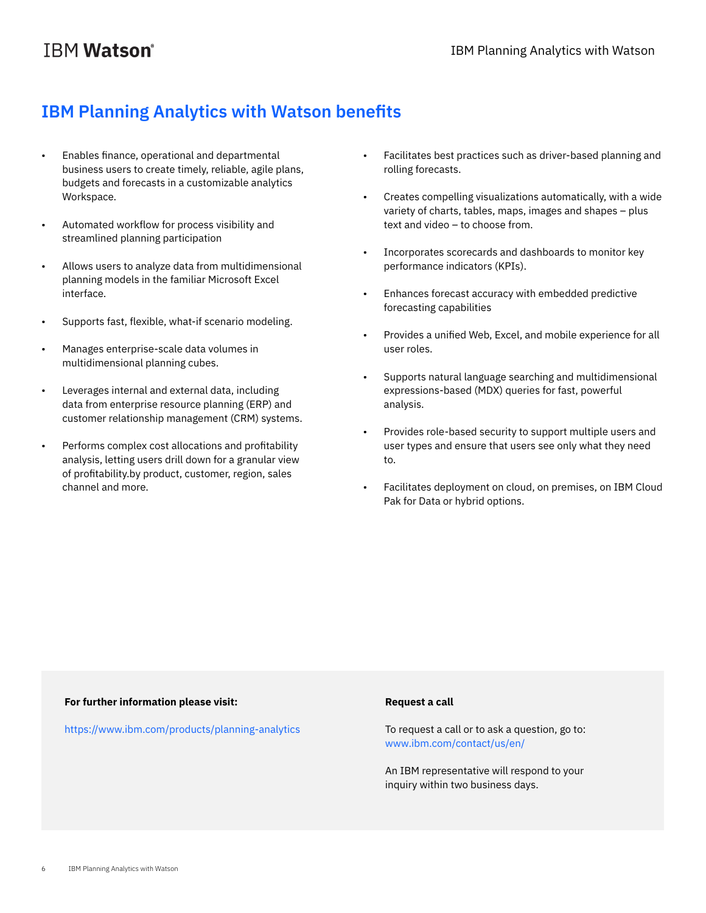## **IBM Planning Analytics with Watson benefits**

- Enables finance, operational and departmental business users to create timely, reliable, agile plans, budgets and forecasts in a customizable analytics Workspace.
- Automated workflow for process visibility and streamlined planning participation
- Allows users to analyze data from multidimensional planning models in the familiar Microsoft Excel interface.
- Supports fast, flexible, what-if scenario modeling.
- Manages enterprise-scale data volumes in multidimensional planning cubes.
- Leverages internal and external data, including data from enterprise resource planning (ERP) and customer relationship management (CRM) systems.
- Performs complex cost allocations and profitability analysis, letting users drill down for a granular view of profitability.by product, customer, region, sales channel and more.
- Facilitates best practices such as driver-based planning and rolling forecasts.
- Creates compelling visualizations automatically, with a wide variety of charts, tables, maps, images and shapes – plus text and video – to choose from.
- Incorporates scorecards and dashboards to monitor key performance indicators (KPIs).
- Enhances forecast accuracy with embedded predictive forecasting capabilities
- Provides a unified Web, Excel, and mobile experience for all user roles.
- Supports natural language searching and multidimensional expressions-based (MDX) queries for fast, powerful analysis.
- Provides role-based security to support multiple users and user types and ensure that users see only what they need to.
- Facilitates deployment on cloud, on premises, on IBM Cloud Pak for Data or hybrid options.

#### **For further information please visit:**

https://www.ibm.com/products/planning-analytics

#### **Request a call**

To request a call or to ask a question, go to: [www.ibm.com/contact/us/en/](http://www.ibm.com/contact/us/en/) 

An IBM representative will respond to your inquiry within two business days.